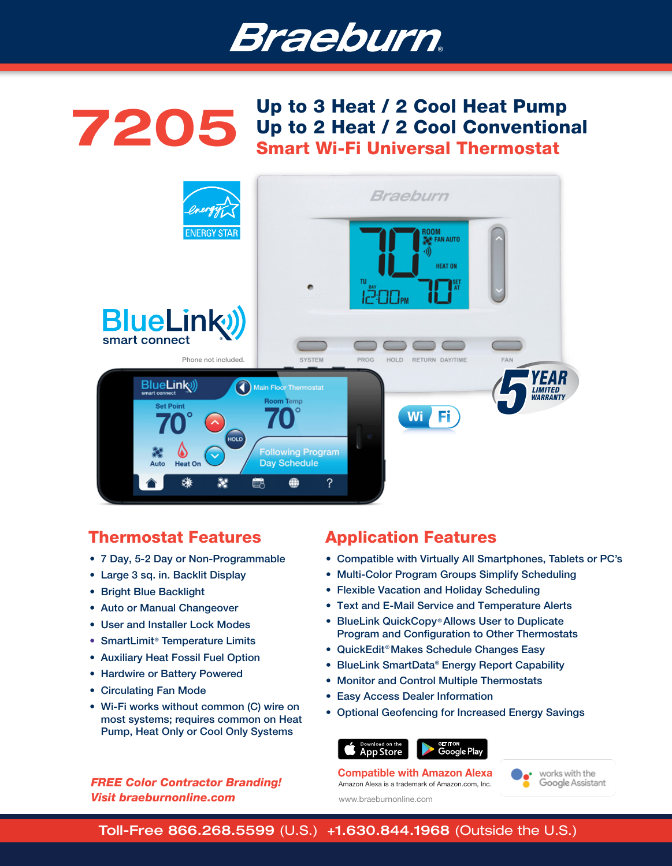

# Up to 3 Heat / 2 Cool Heat Pump<br>Up to 2 Heat / 2 Cool Convention Up to 2 Heat / 2 Cool Conventional Smart Wi-Fi Universal Thermostat



# Thermostat Features

- 7 Day, 5-2 Day or Non-Programmable
- Large 3 sq. in. Backlit Display
- Bright Blue Backlight
- Auto or Manual Changeover
- User and Installer Lock Modes
- SmartLimit® Temperature Limits
- Auxiliary Heat Fossil Fuel Option
- Hardwire or Battery Powered
- Circulating Fan Mode
- Wi-Fi works without common (C) wire on most systems; requires common on Heat Pump, Heat Only or Cool Only Systems

### *FREE Color Contractor Branding! Visit braeburnonline.com*

# Application Features

- Compatible with Virtually All Smartphones, Tablets or PC's
- Multi-Color Program Groups Simplify Scheduling
- Flexible Vacation and Holiday Scheduling
- Text and E-Mail Service and Temperature Alerts
- BlueLink QuickCopy® Allows User to Duplicate Program and Configuration to Other Thermostats
- QuickEdit<sup>®</sup> Makes Schedule Changes Easy
- BlueLink SmartData® Energy Report Capability
- Monitor and Control Multiple Thermostats
- Easy Access Dealer Information
- Optional Geofencing for Increased Energy Savings





Amazon Alexa is a trademark of Amazon.com, Inc. Compatible with Amazon Alexa



www.braeburnonline.com

Toll-Free 866.268.5599 (U.S.) +1.630.844.1968 (Outside the U.S.)